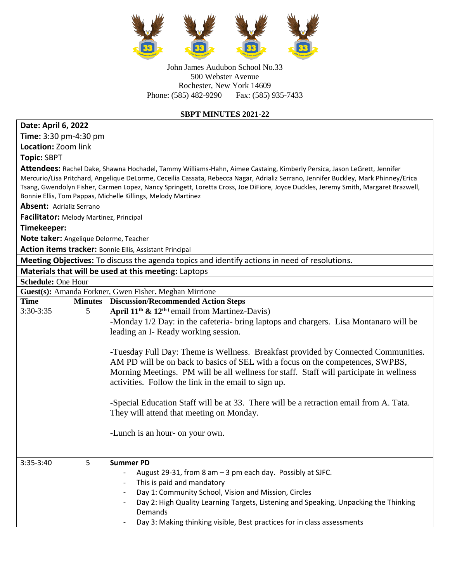

John James Audubon School No.33 500 Webster Avenue Rochester, New York 14609 Phone: (585) 482-9290 Fax: (585) 935-7433

## **SBPT MINUTES 2021-22**

## **Date: April 6, 2022**

**Time:** 3:30 pm-4:30 pm **Location:** Zoom link

**Topic:** SBPT

**Attendees:** Rachel Dake, Shawna Hochadel, Tammy Williams-Hahn, Aimee Castaing, Kimberly Persica, Jason LeGrett, Jennifer Mercurio/Lisa Pritchard, Angelique DeLorme, Ceceilia Cassata, Rebecca Nagar, Adrializ Serrano, Jennifer Buckley, Mark Phinney/Erica Tsang, Gwendolyn Fisher, Carmen Lopez, Nancy Springett, Loretta Cross, Joe DiFiore, Joyce Duckles, Jeremy Smith, Margaret Brazwell, Bonnie Ellis, Tom Pappas, Michelle Killings, Melody Martinez

**Absent:** Adrializ Serrano

**Facilitator:** Melody Martinez, Principal

**Timekeeper:** 

**Note taker:** Angelique Delorme, Teacher

**Action items tracker:** Bonnie Ellis, Assistant Principal

**Meeting Objectives:** To discuss the agenda topics and identify actions in need of resolutions.

| <b>Neeting Objectives:</b> To discuss the agenda topics and identify actions in need of resolutions. |         |                                                                                         |  |  |
|------------------------------------------------------------------------------------------------------|---------|-----------------------------------------------------------------------------------------|--|--|
| Materials that will be used at this meeting: Laptops                                                 |         |                                                                                         |  |  |
| <b>Schedule: One Hour</b>                                                                            |         |                                                                                         |  |  |
|                                                                                                      |         | Guest(s): Amanda Forkner, Gwen Fisher. Meghan Mirrione                                  |  |  |
| <b>Time</b>                                                                                          | Minutes | <b>Discussion/Recommended Action Steps</b>                                              |  |  |
| $3:30-3:35$                                                                                          | 5       | April $11^{th}$ & $12^{th}$ (email from Martinez-Davis)                                 |  |  |
|                                                                                                      |         | -Monday 1/2 Day: in the cafeteria- bring laptops and chargers. Lisa Montanaro will be   |  |  |
|                                                                                                      |         | leading an I- Ready working session.                                                    |  |  |
|                                                                                                      |         |                                                                                         |  |  |
|                                                                                                      |         | -Tuesday Full Day: Theme is Wellness. Breakfast provided by Connected Communities.      |  |  |
|                                                                                                      |         | AM PD will be on back to basics of SEL with a focus on the competences, SWPBS,          |  |  |
|                                                                                                      |         | Morning Meetings. PM will be all wellness for staff. Staff will participate in wellness |  |  |
|                                                                                                      |         | activities. Follow the link in the email to sign up.                                    |  |  |
|                                                                                                      |         |                                                                                         |  |  |
|                                                                                                      |         | -Special Education Staff will be at 33. There will be a retraction email from A. Tata.  |  |  |
|                                                                                                      |         | They will attend that meeting on Monday.                                                |  |  |
|                                                                                                      |         |                                                                                         |  |  |
|                                                                                                      |         | -Lunch is an hour- on your own.                                                         |  |  |
|                                                                                                      |         |                                                                                         |  |  |
|                                                                                                      |         |                                                                                         |  |  |
| 3:35-3:40                                                                                            | 5       | <b>Summer PD</b>                                                                        |  |  |
|                                                                                                      |         | August 29-31, from 8 am - 3 pm each day. Possibly at SJFC.                              |  |  |
|                                                                                                      |         | This is paid and mandatory                                                              |  |  |
|                                                                                                      |         | Day 1: Community School, Vision and Mission, Circles<br>$\overline{\phantom{a}}$        |  |  |
|                                                                                                      |         | Day 2: High Quality Learning Targets, Listening and Speaking, Unpacking the Thinking    |  |  |
|                                                                                                      |         | Demands                                                                                 |  |  |
|                                                                                                      |         | Day 3: Making thinking visible, Best practices for in class assessments                 |  |  |